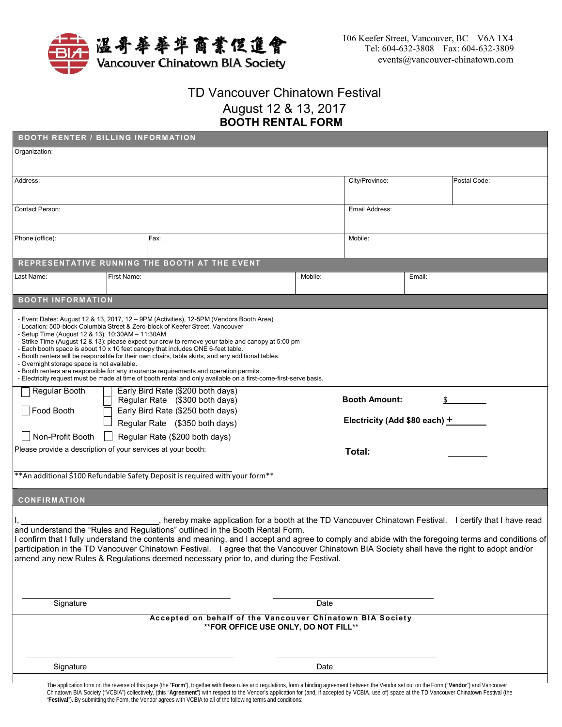

"**Festival**"). By submitting the Form, the Vendor agrees with VCBIA to all of the following terms and conditions:

## TD Vancouver Chinatown Festival August 12 & 13, 2017 **BOOTH RENTAL FORM**

| <b>BOOTH RENTER / BILLING INFORMATION</b>                                                                                                                                                                                                                                                                                                                                                                                                                                                                                                                                                                                                                                                                                                                                               |  |                                                                                                                                                                                                                                                                                                                                                                                                                                                                                                                                                                                      |                |                                 |        |              |
|-----------------------------------------------------------------------------------------------------------------------------------------------------------------------------------------------------------------------------------------------------------------------------------------------------------------------------------------------------------------------------------------------------------------------------------------------------------------------------------------------------------------------------------------------------------------------------------------------------------------------------------------------------------------------------------------------------------------------------------------------------------------------------------------|--|--------------------------------------------------------------------------------------------------------------------------------------------------------------------------------------------------------------------------------------------------------------------------------------------------------------------------------------------------------------------------------------------------------------------------------------------------------------------------------------------------------------------------------------------------------------------------------------|----------------|---------------------------------|--------|--------------|
| Organization:                                                                                                                                                                                                                                                                                                                                                                                                                                                                                                                                                                                                                                                                                                                                                                           |  |                                                                                                                                                                                                                                                                                                                                                                                                                                                                                                                                                                                      |                |                                 |        |              |
| Address:                                                                                                                                                                                                                                                                                                                                                                                                                                                                                                                                                                                                                                                                                                                                                                                |  |                                                                                                                                                                                                                                                                                                                                                                                                                                                                                                                                                                                      |                |                                 |        | Postal Code: |
| <b>Contact Person:</b>                                                                                                                                                                                                                                                                                                                                                                                                                                                                                                                                                                                                                                                                                                                                                                  |  |                                                                                                                                                                                                                                                                                                                                                                                                                                                                                                                                                                                      | Email Address: |                                 |        |              |
| Phone (office):                                                                                                                                                                                                                                                                                                                                                                                                                                                                                                                                                                                                                                                                                                                                                                         |  | Fax:                                                                                                                                                                                                                                                                                                                                                                                                                                                                                                                                                                                 |                | Mobile:                         |        |              |
|                                                                                                                                                                                                                                                                                                                                                                                                                                                                                                                                                                                                                                                                                                                                                                                         |  | REPRESENTATIVE RUNNING THE BOOTH AT THE EVENT                                                                                                                                                                                                                                                                                                                                                                                                                                                                                                                                        |                |                                 |        |              |
| First Name:<br>Last Name:                                                                                                                                                                                                                                                                                                                                                                                                                                                                                                                                                                                                                                                                                                                                                               |  |                                                                                                                                                                                                                                                                                                                                                                                                                                                                                                                                                                                      | Mobile:        |                                 | Email: |              |
| <b>BOOTH INFORMATION</b>                                                                                                                                                                                                                                                                                                                                                                                                                                                                                                                                                                                                                                                                                                                                                                |  |                                                                                                                                                                                                                                                                                                                                                                                                                                                                                                                                                                                      |                |                                 |        |              |
| - Event Dates: August 12 & 13, 2017, 12 – 9PM (Activities), 12-5PM (Vendors Booth Area)<br>- Location: 500-block Columbia Street & Zero-block of Keefer Street, Vancouver<br>- Setup Time (August 12 & 13): 10:30AM - 11:30AM<br>- Strike Time (August 12 & 13): please expect our crew to remove your table and canopy at 5:00 pm<br>- Each booth space is about 10 x 10 feet canopy that includes ONE 6-feet table.<br>- Booth renters will be responsible for their own chairs, table skirts, and any additional tables.<br>- Overnight storage space is not available.<br>- Booth renters are responsible for any insurance requirements and operation permits.<br>- Electricity request must be made at time of booth rental and only available on a first-come-first-serve basis. |  |                                                                                                                                                                                                                                                                                                                                                                                                                                                                                                                                                                                      |                |                                 |        |              |
| <b>Regular Booth</b>                                                                                                                                                                                                                                                                                                                                                                                                                                                                                                                                                                                                                                                                                                                                                                    |  | Early Bird Rate (\$200 both days)<br>Regular Rate (\$300 both days)                                                                                                                                                                                                                                                                                                                                                                                                                                                                                                                  |                | <b>Booth Amount:</b>            | \$     |              |
| Food Booth                                                                                                                                                                                                                                                                                                                                                                                                                                                                                                                                                                                                                                                                                                                                                                              |  | Early Bird Rate (\$250 both days)<br>Regular Rate (\$350 both days)                                                                                                                                                                                                                                                                                                                                                                                                                                                                                                                  |                | Electricity (Add \$80 each) $+$ |        |              |
| Non-Profit Booth<br>Please provide a description of your services at your booth:                                                                                                                                                                                                                                                                                                                                                                                                                                                                                                                                                                                                                                                                                                        |  | Regular Rate (\$200 both days)                                                                                                                                                                                                                                                                                                                                                                                                                                                                                                                                                       |                | Total:                          |        |              |
|                                                                                                                                                                                                                                                                                                                                                                                                                                                                                                                                                                                                                                                                                                                                                                                         |  | ** An additional \$100 Refundable Safety Deposit is required with your form**                                                                                                                                                                                                                                                                                                                                                                                                                                                                                                        |                |                                 |        |              |
| <b>CONFIRMATION</b>                                                                                                                                                                                                                                                                                                                                                                                                                                                                                                                                                                                                                                                                                                                                                                     |  |                                                                                                                                                                                                                                                                                                                                                                                                                                                                                                                                                                                      |                |                                 |        |              |
|                                                                                                                                                                                                                                                                                                                                                                                                                                                                                                                                                                                                                                                                                                                                                                                         |  | hereby make application for a booth at the TD Vancouver Chinatown Festival. I certify that I have read<br>and understand the "Rules and Regulations" outlined in the Booth Rental Form.<br>I confirm that I fully understand the contents and meaning, and I accept and agree to comply and abide with the foregoing terms and conditions of<br>participation in the TD Vancouver Chinatown Festival. I agree that the Vancouver Chinatown BIA Society shall have the right to adopt and/or<br>amend any new Rules & Regulations deemed necessary prior to, and during the Festival. |                |                                 |        |              |
| Signature                                                                                                                                                                                                                                                                                                                                                                                                                                                                                                                                                                                                                                                                                                                                                                               |  |                                                                                                                                                                                                                                                                                                                                                                                                                                                                                                                                                                                      | Date           |                                 |        |              |
|                                                                                                                                                                                                                                                                                                                                                                                                                                                                                                                                                                                                                                                                                                                                                                                         |  | Accepted on behalf of the Vancouver Chinatown BIA Society<br>** FOR OFFICE USE ONLY, DO NOT FILL**                                                                                                                                                                                                                                                                                                                                                                                                                                                                                   |                |                                 |        |              |
|                                                                                                                                                                                                                                                                                                                                                                                                                                                                                                                                                                                                                                                                                                                                                                                         |  |                                                                                                                                                                                                                                                                                                                                                                                                                                                                                                                                                                                      |                |                                 |        |              |
| Signature                                                                                                                                                                                                                                                                                                                                                                                                                                                                                                                                                                                                                                                                                                                                                                               |  | Date                                                                                                                                                                                                                                                                                                                                                                                                                                                                                                                                                                                 |                |                                 |        |              |
|                                                                                                                                                                                                                                                                                                                                                                                                                                                                                                                                                                                                                                                                                                                                                                                         |  | The application form on the reverse of this page (the "Form"), together with these rules and regulations, form a binding agreement between the Vendor set out on the Form ("Vendor") and Vancouver<br>Chinatown BIA Society ("VCBIA") collectively, (this "Agreement") with respect to the Vendor's application for (and, if accepted by VCBIA, use of) space at the TD Vancouver Chinatown Festival (the                                                                                                                                                                            |                |                                 |        |              |